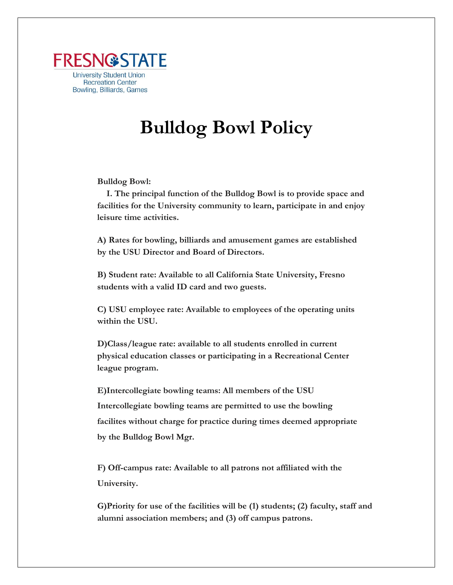

## **Bulldog Bowl Policy**

**Bulldog Bowl:**

**I. The principal function of the Bulldog Bowl is to provide space and facilities for the University community to learn, participate in and enjoy leisure time activities.**

**A) Rates for bowling, billiards and amusement games are established by the USU Director and Board of Directors.**

**B) Student rate: Available to all California State University, Fresno students with a valid ID card and two guests.**

**C) USU employee rate: Available to employees of the operating units within the USU.**

**D)Class/league rate: available to all students enrolled in current physical education classes or participating in a Recreational Center league program.**

**E)Intercollegiate bowling teams: All members of the USU Intercollegiate bowling teams are permitted to use the bowling facilites without charge for practice during times deemed appropriate by the Bulldog Bowl Mgr.** 

**F) Off-campus rate: Available to all patrons not affiliated with the University.**

**G)Priority for use of the facilities will be (1) students; (2) faculty, staff and alumni association members; and (3) off campus patrons.**